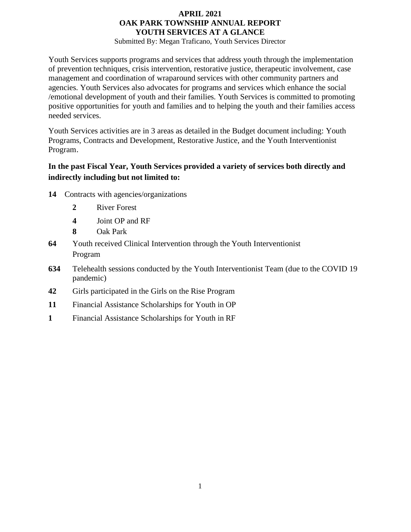Submitted By: Megan Traficano, Youth Services Director

Youth Services supports programs and services that address youth through the implementation of prevention techniques, crisis intervention, restorative justice, therapeutic involvement, case management and coordination of wraparound services with other community partners and agencies. Youth Services also advocates for programs and services which enhance the social /emotional development of youth and their families. Youth Services is committed to promoting positive opportunities for youth and families and to helping the youth and their families access needed services.

Youth Services activities are in 3 areas as detailed in the Budget document including: Youth Programs, Contracts and Development, Restorative Justice, and the Youth Interventionist Program.

# **In the past Fiscal Year, Youth Services provided a variety of services both directly and indirectly including but not limited to:**

- **14** Contracts with agencies/organizations
	- **2** River Forest
	- **4** Joint OP and RF
	- **8** Oak Park
- **64** Youth received Clinical Intervention through the Youth Interventionist Program
- **634** Telehealth sessions conducted by the Youth Interventionist Team (due to the COVID 19 pandemic)
- **42** Girls participated in the Girls on the Rise Program
- **11** Financial Assistance Scholarships for Youth in OP
- **1** Financial Assistance Scholarships for Youth in RF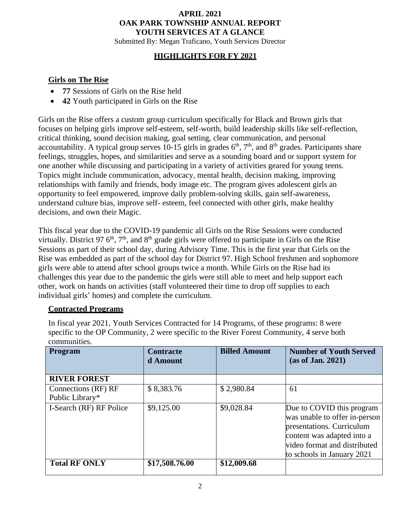Submitted By: Megan Traficano, Youth Services Director

## **HIGHLIGHTS FOR FY 2021**

### **Girls on The Rise**

- **77** Sessions of Girls on the Rise held
- **42** Youth participated in Girls on the Rise

Girls on the Rise offers a custom group curriculum specifically for Black and Brown girls that focuses on helping girls improve self-esteem, self-worth, build leadership skills like self-reflection, critical thinking, sound decision making, goal setting, clear communication, and personal accountability. A typical group serves 10-15 girls in grades  $6<sup>th</sup>$ ,  $7<sup>th</sup>$ , and  $8<sup>th</sup>$  grades. Participants share feelings, struggles, hopes, and similarities and serve as a sounding board and or support system for one another while discussing and participating in a variety of activities geared for young teens. Topics might include communication, advocacy, mental health, decision making, improving relationships with family and friends, body image etc. The program gives adolescent girls an opportunity to feel empowered, improve daily problem-solving skills, gain self-awareness, understand culture bias, improve self- esteem, feel connected with other girls, make healthy decisions, and own their Magic.

This fiscal year due to the COVID-19 pandemic all Girls on the Rise Sessions were conducted virtually. District 97  $6<sup>th</sup>$ , 7<sup>th</sup>, and 8<sup>th</sup> grade girls were offered to participate in Girls on the Rise Sessions as part of their school day, during Advisory Time. This is the first year that Girls on the Rise was embedded as part of the school day for District 97. High School freshmen and sophomore girls were able to attend after school groups twice a month. While Girls on the Rise had its challenges this year due to the pandemic the girls were still able to meet and help support each other, work on hands on activities (staff volunteered their time to drop off supplies to each individual girls' homes) and complete the curriculum.

#### **Contracted Programs**

In fiscal year 2021, Youth Services Contracted for 14 Programs, of these programs: 8 were specific to the OP Community, 2 were specific to the River Forest Community, 4 serve both communities.

| Program                                | <b>Contracte</b><br>d Amount | <b>Billed Amount</b> | <b>Number of Youth Served</b><br>(as of Jan. 2021)                                                                                                                                  |
|----------------------------------------|------------------------------|----------------------|-------------------------------------------------------------------------------------------------------------------------------------------------------------------------------------|
| <b>RIVER FOREST</b>                    |                              |                      |                                                                                                                                                                                     |
| Connections (RF) RF<br>Public Library* | \$8,383.76                   | \$2,980.84           | 61                                                                                                                                                                                  |
| I-Search (RF) RF Police                | \$9,125.00                   | \$9,028.84           | Due to COVID this program<br>was unable to offer in-person<br>presentations. Curriculum<br>content was adapted into a<br>video format and distributed<br>to schools in January 2021 |
| <b>Total RF ONLY</b>                   | \$17,508.76.00               | \$12,009.68          |                                                                                                                                                                                     |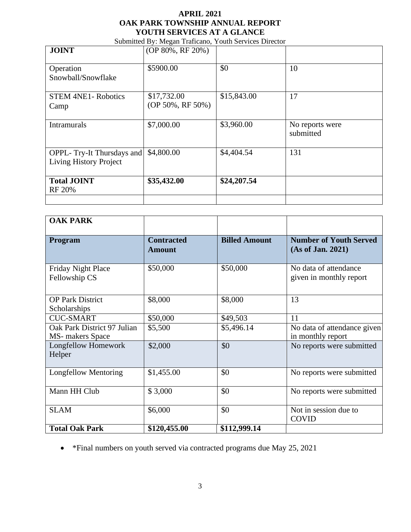Submitted By: Megan Traficano, Youth Services Director

| <b>JOINT</b>                                               | (OP 80%, RF 20%)                 |             |                              |
|------------------------------------------------------------|----------------------------------|-------------|------------------------------|
| Operation<br>Snowball/Snowflake                            | \$5900.00                        | \$0         | 10                           |
| <b>STEM 4NE1- Robotics</b><br>Camp                         | \$17,732.00<br>$OP$ 50%, RF 50%) | \$15,843.00 | 17                           |
| <b>Intramurals</b>                                         | \$7,000.00                       | \$3,960.00  | No reports were<br>submitted |
| OPPL-Try-It Thursdays and<br><b>Living History Project</b> | \$4,800.00                       | \$4,404.54  | 131                          |
| <b>Total JOINT</b><br><b>RF 20%</b>                        | \$35,432.00                      | \$24,207.54 |                              |
|                                                            |                                  |             |                              |

| <b>OAK PARK</b>                                 |                                    |                      |                                                    |
|-------------------------------------------------|------------------------------------|----------------------|----------------------------------------------------|
| <b>Program</b>                                  | <b>Contracted</b><br><b>Amount</b> | <b>Billed Amount</b> | <b>Number of Youth Served</b><br>(As of Jan. 2021) |
| <b>Friday Night Place</b><br>Fellowship CS      | \$50,000                           | \$50,000             | No data of attendance<br>given in monthly report   |
| <b>OP Park District</b><br>Scholarships         | \$8,000                            | \$8,000              | 13                                                 |
| <b>CUC-SMART</b>                                | \$50,000                           | \$49,503             | 11                                                 |
| Oak Park District 97 Julian<br>MS- makers Space | \$5,500                            | \$5,496.14           | No data of attendance given<br>in monthly report   |
| Longfellow Homework<br>Helper                   | \$2,000                            | \$0                  | No reports were submitted                          |
| <b>Longfellow Mentoring</b>                     | \$1,455.00                         | \$0                  | No reports were submitted                          |
| Mann HH Club                                    | \$3,000                            | \$0                  | No reports were submitted                          |
| <b>SLAM</b>                                     | \$6,000                            | \$0                  | Not in session due to<br><b>COVID</b>              |
| <b>Total Oak Park</b>                           | \$120,455.00                       | \$112,999.14         |                                                    |

• \*Final numbers on youth served via contracted programs due May 25, 2021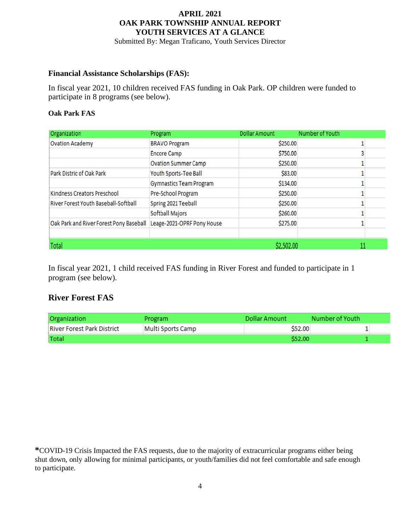Submitted By: Megan Traficano, Youth Services Director

### **Financial Assistance Scholarships (FAS):**

In fiscal year 2021, 10 children received FAS funding in Oak Park. OP children were funded to participate in 8 programs (see below).

#### **Oak Park FAS**

| Organization                            | Program                        | <b>Dollar Amount</b> | Number of Youth |
|-----------------------------------------|--------------------------------|----------------------|-----------------|
| <b>Ovation Academy</b>                  | <b>BRAVO Program</b>           | \$250.00             |                 |
|                                         | <b>Encore Camp</b>             | \$750.00             |                 |
|                                         | <b>Ovation Summer Camp</b>     | \$250.00             |                 |
| Park Distric of Oak Park                | Youth Sports-Tee Ball          | \$83.00              |                 |
|                                         | <b>Gymnastics Team Program</b> | \$134.00             |                 |
| Kindness Creators Preschool             | Pre-School Program             | \$250.00             |                 |
| River Forest Youth Baseball-Softball    | Spring 2021 Teeball            | \$250.00             |                 |
|                                         | Softball Majors                | \$260.00             |                 |
| Oak Park and River Forest Pony Baseball | Leage-2021-OPRF Pony House     | \$275.00             |                 |
| Total                                   |                                | \$2,502.00           |                 |

In fiscal year 2021, 1 child received FAS funding in River Forest and funded to participate in 1 program (see below).

# **River Forest FAS**

| Organization                      | Program           | Dollar Amount | Number of Youth |  |
|-----------------------------------|-------------------|---------------|-----------------|--|
| <b>River Forest Park District</b> | Multi Sports Camp | S52.00        |                 |  |
| <b>Total</b>                      |                   | S52.00        |                 |  |

**\***COVID-19 Crisis Impacted the FAS requests, due to the majority of extracurricular programs either being shut down, only allowing for minimal participants, or youth/families did not feel comfortable and safe enough to participate.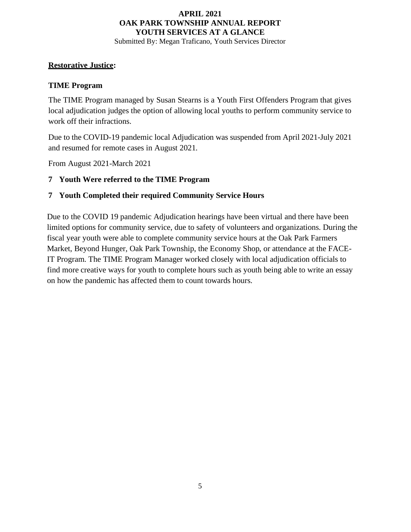Submitted By: Megan Traficano, Youth Services Director

## **Restorative Justice:**

### **TIME Program**

The TIME Program managed by Susan Stearns is a Youth First Offenders Program that gives local adjudication judges the option of allowing local youths to perform community service to work off their infractions.

Due to the COVID-19 pandemic local Adjudication was suspended from April 2021-July 2021 and resumed for remote cases in August 2021.

From August 2021-March 2021

## **7 Youth Were referred to the TIME Program**

# **7 Youth Completed their required Community Service Hours**

Due to the COVID 19 pandemic Adjudication hearings have been virtual and there have been limited options for community service, due to safety of volunteers and organizations. During the fiscal year youth were able to complete community service hours at the Oak Park Farmers Market, Beyond Hunger, Oak Park Township, the Economy Shop, or attendance at the FACE-IT Program. The TIME Program Manager worked closely with local adjudication officials to find more creative ways for youth to complete hours such as youth being able to write an essay on how the pandemic has affected them to count towards hours.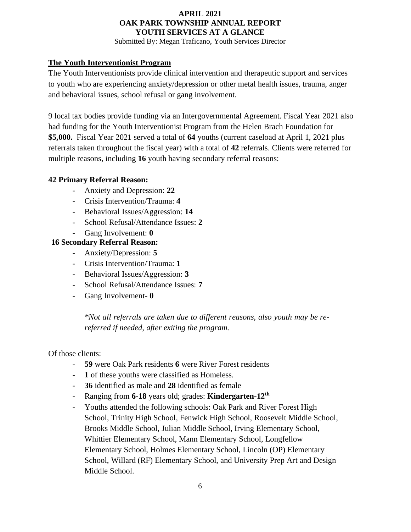Submitted By: Megan Traficano, Youth Services Director

## **The Youth Interventionist Program**

The Youth Interventionists provide clinical intervention and therapeutic support and services to youth who are experiencing anxiety/depression or other metal health issues, trauma, anger and behavioral issues, school refusal or gang involvement.

9 local tax bodies provide funding via an Intergovernmental Agreement. Fiscal Year 2021 also had funding for the Youth Interventionist Program from the Helen Brach Foundation for **\$5,000.** Fiscal Year 2021 served a total of **64** youths (current caseload at April 1, 2021 plus referrals taken throughout the fiscal year) with a total of **42** referrals. Clients were referred for multiple reasons, including **16** youth having secondary referral reasons:

# **42 Primary Referral Reason:**

- Anxiety and Depression: **22**
- Crisis Intervention/Trauma: **4**
- Behavioral Issues/Aggression: **14**
- School Refusal/Attendance Issues: **2**
- Gang Involvement: **0**

# **16 Secondary Referral Reason:**

- Anxiety/Depression: **5**
- Crisis Intervention/Trauma: **1**
- Behavioral Issues/Aggression: **3**
- School Refusal/Attendance Issues: **7**
- Gang Involvement- **0**

*\*Not all referrals are taken due to different reasons, also youth may be rereferred if needed, after exiting the program.*

## Of those clients:

- **59** were Oak Park residents **6** were River Forest residents
- **1** of these youths were classified as Homeless.
- **36** identified as male and **28** identified as female
- Ranging from **6-18** years old; grades: **Kindergarten-12th**
- Youths attended the following schools: Oak Park and River Forest High School, Trinity High School, Fenwick High School, Roosevelt Middle School, Brooks Middle School, Julian Middle School, Irving Elementary School, Whittier Elementary School, Mann Elementary School, Longfellow Elementary School, Holmes Elementary School, Lincoln (OP) Elementary School, Willard (RF) Elementary School, and University Prep Art and Design Middle School.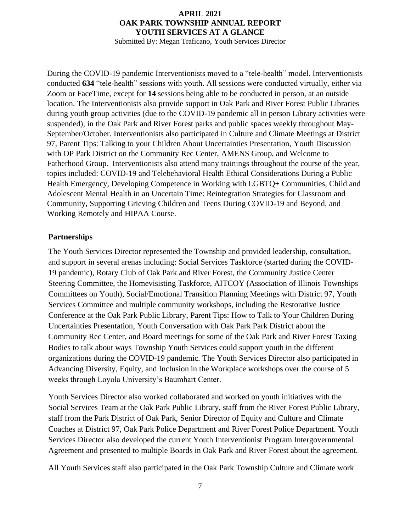Submitted By: Megan Traficano, Youth Services Director

During the COVID-19 pandemic Interventionists moved to a "tele-health" model. Interventionists conducted **634** "tele-health" sessions with youth. All sessions were conducted virtually, either via Zoom or FaceTime, except for **14** sessions being able to be conducted in person, at an outside location. The Interventionists also provide support in Oak Park and River Forest Public Libraries during youth group activities (due to the COVID-19 pandemic all in person Library activities were suspended), in the Oak Park and River Forest parks and public spaces weekly throughout May-September/October. Interventionists also participated in Culture and Climate Meetings at District 97, Parent Tips: Talking to your Children About Uncertainties Presentation, Youth Discussion with OP Park District on the Community Rec Center, AMENS Group, and Welcome to Fatherhood Group. Interventionists also attend many trainings throughout the course of the year, topics included: COVID-19 and Telebehavioral Health Ethical Considerations During a Public Health Emergency, Developing Competence in Working with LGBTQ+ Communities, Child and Adolescent Mental Health in an Uncertain Time: Reintegration Strategies for Classroom and Community, Supporting Grieving Children and Teens During COVID-19 and Beyond, and Working Remotely and HIPAA Course.

## **Partnerships**

The Youth Services Director represented the Township and provided leadership, consultation, and support in several arenas including: Social Services Taskforce (started during the COVID-19 pandemic), Rotary Club of Oak Park and River Forest, the Community Justice Center Steering Committee, the Homevisisting Taskforce, AITCOY (Association of Illinois Townships Committees on Youth), Social/Emotional Transition Planning Meetings with District 97, Youth Services Committee and multiple community workshops, including the Restorative Justice Conference at the Oak Park Public Library, Parent Tips: How to Talk to Your Children During Uncertainties Presentation, Youth Conversation with Oak Park Park District about the Community Rec Center, and Board meetings for some of the Oak Park and River Forest Taxing Bodies to talk about ways Township Youth Services could support youth in the different organizations during the COVID-19 pandemic. The Youth Services Director also participated in Advancing Diversity, Equity, and Inclusion in the Workplace workshops over the course of 5 weeks through Loyola University's Baumhart Center.

Youth Services Director also worked collaborated and worked on youth initiatives with the Social Services Team at the Oak Park Public Library, staff from the River Forest Public Library, staff from the Park District of Oak Park, Senior Director of Equity and Culture and Climate Coaches at District 97, Oak Park Police Department and River Forest Police Department. Youth Services Director also developed the current Youth Interventionist Program Intergovernmental Agreement and presented to multiple Boards in Oak Park and River Forest about the agreement.

All Youth Services staff also participated in the Oak Park Township Culture and Climate work